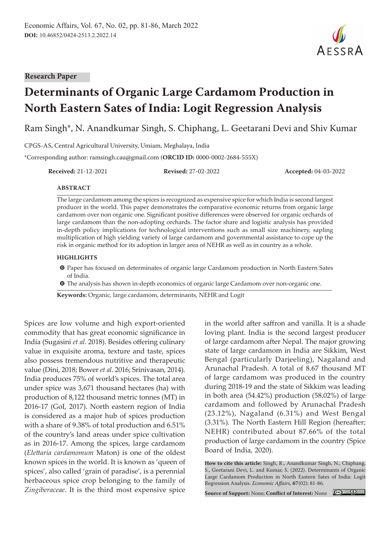

# **Determinants of Organic Large Cardamom Production in North Eastern Sates of India: Logit Regression Analysis**

Ram Singh\*, N. Anandkumar Singh, S. Chiphang, L. Geetarani Devi and Shiv Kumar

CPGS-AS, Central Agricultural University, Umiam, Meghalaya, India

\*Corresponding author: ramsingh.cau@gmail.com (**ORCID ID:** 0000-0002-2684-555X)

**Received:** 21-12-2021 **Revised:** 27-02-2022 **Accepted:** 04-03-2022

AESSRA

#### **ABSTRACT**

The large cardamom among the spices is recognized as expensive spice for which India is second largest producer in the world. This paper demonstrates the comparative economic returns from organic large cardamom over non organic one. Significant positive differences were observed for organic orchards of large cardamom than the non-adopting orchards. The factor share and logistic analysis has provided in-depth policy implications for technological interventions such as small size machinery, sapling multiplication of high yielding variety of large cardamom and governmental assistance to cope up the risk in organic method for its adoption in larger area of NEHR as well as in country as a whole.

#### **HIGHLIGHTS**

- m Paper has focused on determinates of organic large Cardamom production in North Eastern Sates of India.
- **O** The analysis has shown in-depth economics of organic large Cardamom over non-organic one.

**Keywords:** Organic, large cardamom, determinants, NEHR and Logit

Spices are low volume and high export-oriented commodity that has great economic significance in India (Sugasini *et al.* 2018). Besides offering culinary value in exquisite aroma, texture and taste, spices also possess tremendous nutritive and therapeutic value (Dini, 2018; Bower *et al*. 2016; Srinivasan, 2014). India produces 75% of world's spices. The total area under spice was 3,671 thousand hectares (ha) with production of 8,122 thousand metric tonnes (MT) in 2016-17 (GoI, 2017). North eastern region of India is considered as a major hub of spices production with a share of 9.38% of total production and 6.51% of the country's land areas under spice cultivation as in 2016-17. Among the spices, large cardamom (*Elettaria cardamomum* Maton) is one of the oldest known spices in the world. It is known as 'queen of spices', also called 'grain of paradise', is a perennial herbaceous spice crop belonging to the family of *Zingiberaceae*. It is the third most expensive spice

in the world after saffron and vanilla. It is a shade loving plant. India is the second largest producer of large cardamom after Nepal. The major growing state of large cardamom in India are Sikkim, West Bengal (particularly Darjeeling), Nagaland and Arunachal Pradesh. A total of 8.67 thousand MT of large cardamom was produced in the country during 2018-19 and the state of Sikkim was leading in both area (54.42%) production (58.02%) of large cardamom and followed by Arunachal Pradesh (23.12%), Nagaland (6.31%) and West Bengal (3.31%). The North Eastern Hill Region (hereafter; NEHR) contributed about 87.66% of the total production of large cardamom in the country (Spice Board of India, 2020).

**How to cite this article:** Singh, R., Anandkumar Singh, N., Chiphang, S., Geetarani Devi, L. and Kumar, S. (2022). Determinants of Organic Large Cardamom Production in North Eastern Sates of India: Logit Regression Analysis. *Economic Affairs,* **67**(02): 81-86.

**Source of Support:** None; **Conflict of Interest:** None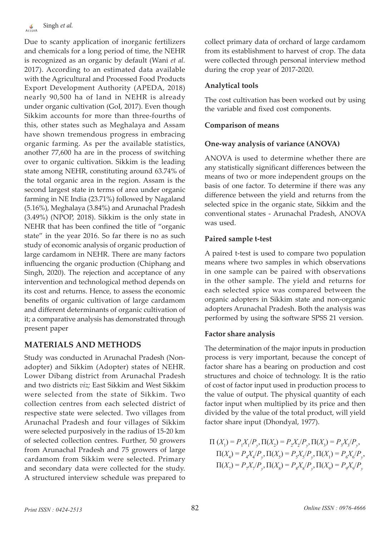Due to scanty application of inorganic fertilizers and chemicals for a long period of time, the NEHR is recognized as an organic by default (Wani *et al.* 2017). According to an estimated data available with the Agricultural and Processed Food Products Export Development Authority (APEDA, 2018) nearly 90,500 ha of land in NEHR is already under organic cultivation (GoI, 2017). Even though Sikkim accounts for more than three-fourths of this, other states such as Meghalaya and Assam have shown tremendous progress in embracing organic farming. As per the available statistics, another 77,600 ha are in the process of switching over to organic cultivation. Sikkim is the leading state among NEHR, constituting around 63.74% of the total organic area in the region. Assam is the second largest state in terms of area under organic farming in NE India (23.71%) followed by Nagaland (5.16%), Meghalaya (3.84%) and Arunachal Pradesh (3.49%) (NPOP, 2018). Sikkim is the only state in NEHR that has been confined the title of "organic state" in the year 2016. So far there is no as such study of economic analysis of organic production of large cardamom in NEHR. There are many factors influencing the organic production (Chiphang and Singh, 2020). The rejection and acceptance of any intervention and technological method depends on its cost and returns. Hence, to assess the economic benefits of organic cultivation of large cardamom and different determinants of organic cultivation of it; a comparative analysis has demonstrated through present paper

# **MATERIALS AND METHODS**

Study was conducted in Arunachal Pradesh (Nonadopter) and Sikkim (Adopter) states of NEHR. Lower Dibang district from Arunachal Pradesh and two districts *viz;* East Sikkim and West Sikkim were selected from the state of Sikkim. Two collection centres from each selected district of respective state were selected. Two villages from Arunachal Pradesh and four villages of Sikkim were selected purposively in the radius of 15-20 km of selected collection centres. Further, 50 growers from Arunachal Pradesh and 75 growers of large cardamom from Sikkim were selected. Primary and secondary data were collected for the study. A structured interview schedule was prepared to

collect primary data of orchard of large cardamom from its establishment to harvest of crop. The data were collected through personal interview method during the crop year of 2017-2020.

## **Analytical tools**

The cost cultivation has been worked out by using the variable and fixed cost components.

## **Comparison of means**

## **One-way analysis of variance (ANOVA)**

ANOVA is used to determine whether there are any statistically significant differences between the means of two or more independent groups on the basis of one factor. To determine if there was any difference between the yield and returns from the selected spice in the organic state, Sikkim and the conventional states - Arunachal Pradesh, ANOVA was used.

## **Paired sample t-test**

A paired t-test is used to compare two population means where two samples in which observations in one sample can be paired with observations in the other sample. The yield and returns for each selected spice was compared between the organic adopters in Sikkim state and non-organic adopters Arunachal Pradesh. Both the analysis was performed by using the software SPSS 21 version.

## **Factor share analysis**

The determination of the major inputs in production process is very important, because the concept of factor share has a bearing on production and cost structures and choice of technology. It is the ratio of cost of factor input used in production process to the value of output. The physical quantity of each factor input when multiplied by its price and then divided by the value of the total product, will yield factor share input (Dhondyal, 1977).

$$
\Pi(X_1) = P_1 X_1 / P_y, \Pi(X_2) = P_2 X_2 / P_y, \Pi(X_3) = P_3 X_3 / P_y, \n\Pi(X_4) = P_4 X_4 / P_y, \Pi(X_5) = P_5 X_5 / P_y, \Pi(X_1) = P_6 X_6 / P_y, \n\Pi(X_7) = P_7 X_7 / P_y, \Pi(X_8) = P_8 X_8 / P_y, \Pi(X_9) = P_9 X_9 / P_y
$$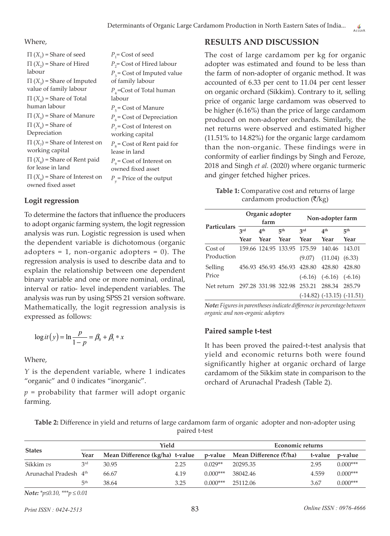#### Where,

| $\Pi(X_1)$ = Share of seed                               | $P_1$ = Cost of seed                |
|----------------------------------------------------------|-------------------------------------|
| $\Pi(X_2)$ = Share of Hired                              | $P_{2}$ = Cost of Hired labour      |
| labour                                                   | $P_3$ = Cost of Imputed value       |
| $\Pi(X_2)$ = Share of Imputed                            | of family labour                    |
| value of family labour                                   | $P_{A}$ =Cost of Total human        |
| $\Pi(X_A)$ = Share of Total                              | labour                              |
| human labour                                             | $P_5$ = Cost of Manure              |
| $\Pi(X_5)$ = Share of Manure                             | $P_{6}$ = Cost of Depreciation      |
| $\Pi(X_{6})$ = Share of                                  | $P_{7}$ = Cost of Interest on       |
| Depreciation                                             | working capital                     |
| $\Pi(X_{7})$ = Share of Interest on                      | $P_{\rm g}$ = Cost of Rent paid for |
| working capital                                          | lease in land                       |
| $\Pi(X_{s})$ = Share of Rent paid                        | $P_{\rm o}$ = Cost of Interest on   |
| for lease in land                                        | owned fixed asset                   |
| $\Pi(X_{q})$ = Share of Interest on<br>owned fixed asset | $P_{v}$ = Price of the output       |
|                                                          |                                     |

## **Logit regression**

To determine the factors that influence the producers to adopt organic farming system, the logit regression analysis was run. Logistic regression is used when the dependent variable is dichotomous (organic adopters  $= 1$ , non-organic adopters  $= 0$ ). The regression analysis is used to describe data and to explain the relationship between one dependent binary variable and one or more nominal, ordinal, interval or ratio- level independent variables. The analysis was run by using SPSS 21 version software. Mathematically, the logit regression analysis is expressed as follows:

$$
\log it(y) = \ln \frac{p}{1-p} = \beta_0 + \beta_1 * x
$$

Where,

*Y* is the dependent variable, where 1 indicates "organic" and 0 indicates "inorganic".

*p* = probability that farmer will adopt organic farming.

## **RESULTS AND DISCUSSION**

The cost of large cardamom per kg for organic adopter was estimated and found to be less than the farm of non-adopter of organic method. It was accounted of 6.33 per cent to 11.04 per cent lesser on organic orchard (Sikkim). Contrary to it, selling price of organic large cardamom was observed to be higher (6.16%) than the price of large cardamom produced on non-adopter orchards. Similarly, the net returns were observed and estimated higher (11.51% to 14.82%) for the organic large cardamom than the non-organic. These findings were in conformity of earlier findings by Singh and Feroze, 2018 and Singh *et al.* (2020) where organic turmeric and ginger fetched higher prices.

**Table 1:** Comparative cost and returns of large cardamom production  $(\overline{\zeta}/kg)$ 

| <b>Particulars</b>                     |      | Organic adopter<br>farm |                        | Non-adopter farm                   |                                  |                 |  |
|----------------------------------------|------|-------------------------|------------------------|------------------------------------|----------------------------------|-----------------|--|
|                                        | 3rd  | 4 <sup>th</sup>         | $\nabla$ <sup>th</sup> | 2rd                                | 4 <sup>th</sup>                  | 5 <sup>th</sup> |  |
|                                        | Year | Year                    | - Year                 | Year                               | Year                             | Year            |  |
| Cost of                                |      |                         |                        | 159.66 124.95 133.95 175.59 140.46 |                                  | 143.01          |  |
| Production                             |      |                         |                        |                                    | $(9.07)$ $(11.04)$ $(6.33)$      |                 |  |
| Selling                                |      |                         |                        | 456.93 456.93 456.93 428.80        | 428.80                           | 428.80          |  |
| Price                                  |      |                         |                        |                                    | $(-6.16)$ $(-6.16)$ $(-6.16)$    |                 |  |
| Net return 297.28 331.98 322.98 253.21 |      |                         |                        |                                    | 288.34                           | - 285.79        |  |
|                                        |      |                         |                        |                                    | $(-14.82)$ $(-13.15)$ $(-11.51)$ |                 |  |

*Note: Figures in parentheses indicate difference in percentage between organic and non-organic adopters*

## **Paired sample t-test**

It has been proved the paired-t-test analysis that yield and economic returns both were found significantly higher at organic orchard of large cardamom of the Sikkim state in comparison to the orchard of Arunachal Pradesh (Table 2).

| Table 2: Difference in yield and returns of large cardamom farm of organic adopter and non-adopter using |  |
|----------------------------------------------------------------------------------------------------------|--|
| paired t-test                                                                                            |  |

|                                   |                                    | Yield                           |      | Economic returns |                                             |         |            |
|-----------------------------------|------------------------------------|---------------------------------|------|------------------|---------------------------------------------|---------|------------|
| <b>States</b>                     | Year                               | Mean Difference (kg/ha) t-value |      |                  | p-value Mean Difference $(\bar{\zeta}/h a)$ | t-value | p-value    |
| Sikkim vs                         | 2rd                                | 30.95                           | 2.25 | $0.029**$        | 20295.35                                    | 2.95    | $0.000***$ |
| Arunachal Pradesh 4 <sup>th</sup> |                                    | 66.67                           | 4.19 | $0.000***$       | 38042.46                                    | 4.559   | $0.000***$ |
|                                   | らんじゃくしゃ くちゅうしゃ はんじょう しょうしゃく しゅうしょう | 38.64                           | 3.25 | $0.000***$       | 25112.06                                    | 3.67    | $0.000***$ |

*Note: \*p≤0.10, \*\*\*p ≤ 0.01*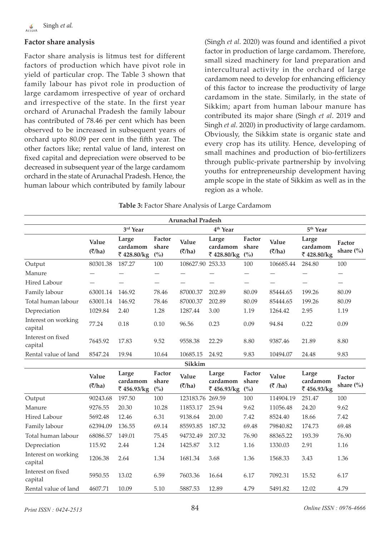## **Factor share analysis**

Factor share analysis is litmus test for different factors of production which have pivot role in yield of particular crop. The Table 3 shown that family labour has pivot role in production of large cardamom irrespective of year of orchard and irrespective of the state. In the first year orchard of Arunachal Pradesh the family labour has contributed of 78.46 per cent which has been observed to be increased in subsequent years of orchard upto 80.09 per cent in the fifth year. The other factors like; rental value of land, interest on fixed capital and depreciation were observed to be decreased in subsequent year of the large cardamom orchard in the state of Arunachal Pradesh. Hence, the human labour which contributed by family labour

(Singh *et al.* 2020) was found and identified a pivot factor in production of large cardamom. Therefore, small sized machinery for land preparation and intercultural activity in the orchard of large cardamom need to develop for enhancing efficiency of this factor to increase the productivity of large cardamom in the state. Similarly, in the state of Sikkim; apart from human labour manure has contributed its major share (Singh *et al*. 2019 and Singh *et al.* 2020) in productivity of large cardamom. Obviously, the Sikkim state is organic state and every crop has its utility. Hence, developing of small machines and production of bio-fertilizers through public-private partnership by involving youths for entrepreneurship development having ample scope in the state of Sikkim as well as in the region as a whole.

**Table 3:** Factor Share Analysis of Large Cardamom

|                                |                                  |                                 |                                   | <b>Arunachal Pradesh</b>          |                                 |                           |                                   |                                 |                                   |
|--------------------------------|----------------------------------|---------------------------------|-----------------------------------|-----------------------------------|---------------------------------|---------------------------|-----------------------------------|---------------------------------|-----------------------------------|
|                                | 3rd Year                         |                                 |                                   | 4 <sup>th</sup> Year              |                                 |                           | 5 <sup>th</sup> Year              |                                 |                                   |
|                                | Value<br>$(\overline{\zeta}/ha)$ | Large<br>cardamom<br>₹428.80/kg | Factor<br>share<br>$\binom{0}{0}$ | Value<br>$(\overline{\zeta}/ha)$  | Large<br>cardamom<br>₹428.80/kg | Factor<br>share<br>(%)    | Value<br>$(\overline{\zeta}/h a)$ | Large<br>cardamom<br>₹428.80/kg | Factor<br>share $\frac{6}{6}$     |
| Output                         | 80301.38                         | 187.27                          | 100                               | 108627.90 253.33                  |                                 | 100                       | 106685.44                         | 284.80                          | 100                               |
| Manure                         |                                  |                                 |                                   |                                   |                                 |                           |                                   |                                 |                                   |
| Hired Labour                   |                                  |                                 |                                   |                                   |                                 |                           |                                   |                                 | —                                 |
| Family labour                  | 63001.14                         | 146.92                          | 78.46                             | 87000.37                          | 202.89                          | 80.09                     | 85444.65                          | 199.26                          | 80.09                             |
| Total human labour             | 63001.14                         | 146.92                          | 78.46                             | 87000.37                          | 202.89                          | 80.09                     | 85444.65                          | 199.26                          | 80.09                             |
| Depreciation                   | 1029.84                          | 2.40                            | 1.28                              | 1287.44                           | 3.00                            | 1.19                      | 1264.42                           | 2.95                            | 1.19                              |
| Interest on working<br>capital | 77.24                            | 0.18                            | 0.10                              | 96.56                             | 0.23                            | 0.09                      | 94.84                             | 0.22                            | 0.09                              |
| Interest on fixed<br>capital   | 7645.92                          | 17.83                           | 9.52                              | 9558.38                           | 22.29                           | 8.80                      | 9387.46                           | 21.89                           | 8.80                              |
| Rental value of land           | 8547.24                          | 19.94                           | 10.64                             | 10685.15                          | 24.92                           | 9.83                      | 10494.07                          | 24.48                           | 9.83                              |
|                                |                                  |                                 |                                   | Sikkim                            |                                 |                           |                                   |                                 |                                   |
|                                | Value<br>$(\overline{\zeta}/ha)$ | Large<br>cardamom<br>₹456.93/kg | Factor<br>share<br>$\binom{0}{0}$ | Value<br>$(\overline{\zeta}/h a)$ | Large<br>cardamom<br>₹456.93/kg | Factor<br>share<br>$($ %) | Value<br>$(3 \hbox{/ha})$         | Large<br>cardamom<br>₹456.93/kg | Factor<br>share $\left(\%\right)$ |
| Output                         | 90243.68                         | 197.50                          | 100                               | 123183.76 269.59                  |                                 | 100                       | 114904.19                         | 251.47                          | 100                               |
| Manure                         | 9276.55                          | 20.30                           | 10.28                             | 11853.17                          | 25.94                           | 9.62                      | 11056.48                          | 24.20                           | 9.62                              |
| $\lim_{d}$ Lobour              | 5602.48                          | 12.46                           | 621                               | 012864                            | 20 UU                           | 712                       | QE2AAO                            | 1966                            | 712                               |

| Rental value of land           | 4607.71  | 10.09  | 5.10  | 5887.53  | 12.89  | 4.79  | 5491.82  | 12.02  | 4.79  |
|--------------------------------|----------|--------|-------|----------|--------|-------|----------|--------|-------|
| Interest on fixed<br>capital   | 5950.55  | 13.02  | 6.59  | 7603.36  | 16.64  | 6.17  | 7092.31  | 15.52  | 6.17  |
| Interest on working<br>capital | 1206.38  | 2.64   | 1.34  | 1681.34  | 3.68   | 1.36  | 1568.33  | 3.43   | 1.36  |
| Depreciation                   | 115.92   | 2.44   | 1.24  | 1425.87  | 3.12   | 1.16  | 1330.03  | 2.91   | 1.16  |
| Total human labour             | 68086.57 | 149.01 | 75.45 | 94732.49 | 207.32 | 76.90 | 88365.22 | 193.39 | 76.90 |
| Family labour                  | 62394.09 | 136.55 | 69.14 | 85593.85 | 187.32 | 69.48 | 79840.82 | 174.73 | 69.48 |
| Hired Labour                   | 5692.48  | 12.46  | 6.31  | 9138.64  | 20.00  | 7.42  | 8524.40  | 18.66  | 7.42  |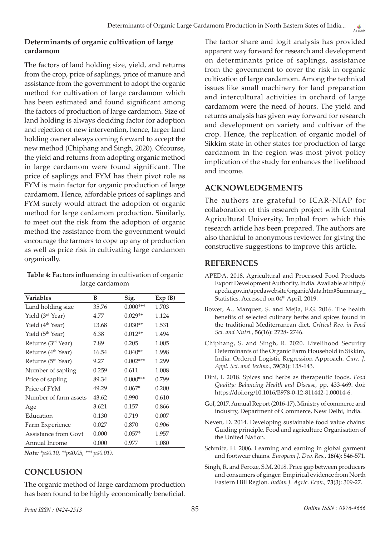### **Determinants of organic cultivation of large cardamom**

The factors of land holding size, yield, and returns from the crop, price of saplings, price of manure and assistance from the government to adopt the organic method for cultivation of large cardamom which has been estimated and found significant among the factors of production of large cardamom. Size of land holding is always deciding factor for adoption and rejection of new intervention, hence, larger land holding owner always coming forward to accept the new method (Chiphang and Singh, 2020). Ofcourse, the yield and returns from adopting organic method in large cardamom were found significant. The price of saplings and FYM has their pivot role as FYM is main factor for organic production of large cardamom. Hence, affordable prices of saplings and FYM surely would attract the adoption of organic method for large cardamom production. Similarly, to meet out the risk from the adoption of organic method the assistance from the government would encourage the farmers to cope up any of production as well as price risk in cultivating large cardamom organically.

| Table 4: Factors influencing in cultivation of organic |  |
|--------------------------------------------------------|--|
| large cardamom                                         |  |

| <b>Variables</b>               | В     | Sig.       | Exp(B) |
|--------------------------------|-------|------------|--------|
| Land holding size              | 35.76 | $0.000***$ | 1.703  |
| Yield (3 <sup>rd</sup> Year)   | 4.77  | $0.029**$  | 1.124  |
| Yield (4 <sup>th</sup> Year)   | 13.68 | $0.030**$  | 1.531  |
| Yield (5 <sup>th</sup> Year)   | 6.38  | $0.012**$  | 1.494  |
| Returns (3 <sup>rd</sup> Year) | 7.89  | 0.205      | 1.005  |
| Returns (4 <sup>th</sup> Year) | 16.54 | $0.040**$  | 1.998  |
| Returns (5 <sup>th</sup> Year) | 9.27  | $0.002***$ | 1.299  |
| Number of sapling              | 0.259 | 0.611      | 1.008  |
| Price of sapling               | 89.34 | $0.000***$ | 0.799  |
| Price of FYM                   | 49.29 | $0.067*$   | 0.200  |
| Number of farm assets          | 43.62 | 0.990      | 0.610  |
| Age                            | 3.621 | 0.157      | 0.866  |
| Education                      | 0.130 | 0.719      | 0.007  |
| Farm Experience                | 0.027 | 0.870      | 0.906  |
| Assistance from Govt           | 0.000 | $0.057*$   | 1.957  |
| Annual Income                  | 0.000 | 0.977      | 1.080  |

*Note: \*p≤0.10, \*\*p≤0.05, \*\*\* p≤0.01).*

## **CONCLUSION**

The organic method of large cardamom production has been found to be highly economically beneficial.

The factor share and logit analysis has provided apparent way forward for research and development on determinants price of saplings, assistance from the government to cover the risk in organic cultivation of large cardamom. Among the technical issues like small machinery for land preparation and intercultural activities in orchard of large cardamom were the need of hours. The yield and returns analysis has given way forward for research and development on variety and cultivar of the crop. Hence, the replication of organic model of Sikkim state in other states for production of large cardamom in the region was most pivot policy implication of the study for enhances the livelihood and income.

## **ACKNOWLEDGEMENTS**

The authors are grateful to ICAR-NIAP for collaboration of this research project with Central Agricultural University, Imphal from which this research article has been prepared. The authors are also thankful to anonymous reviewer for giving the constructive suggestions to improve this article**.**

## **REFERENCES**

- APEDA. 2018. Agricultural and Processed Food Products Export Development Authority, India. Available at http:// apeda.gov.in/apedawebsite/organic/data.htm#Summary\_ Statistics. Accessed on 04<sup>th</sup> April, 2019.
- Bower, A., Marquez, S. and Mejia, E.G. 2016. The health benefits of selected culinary herbs and spices found in the traditional Mediterranean diet. *Critical Rev. in Food Sci. and Nutri.*, **56**(16): 2728- 2746.
- Chiphang, S. and Singh, R. 2020. Livelihood Security Determinants of the Organic Farm Household in Sikkim, India: Ordered Logistic Regression Approach. *Curr. J. Appl. Sci. and Techno.,* **39**(20): 138-143.
- Dini, I. 2018. Spices and herbs as therapeutic foods. *Food Quality: Balancing Health and Disease*, pp. 433-469. doi: https://doi.org/10.1016/B978-0-12-811442-1.00014-6.
- GoI, 2017. Annual Report (2016-17). Ministry of commerce and industry, Department of Commerce, New Delhi, India.
- Neven, D. 2014. Developing sustainable food value chains: Guiding principle. Food and agriculture Organisation of the United Nation.
- Schmitz, H. 2006. Learning and earning in global garment and footwear chains. *European J. Dev. Res.*, **18**(4): 546-571.
- Singh, R. and Feroze, S.M. 2018. Price gap between producers and consumers of ginger: Empirical evidence from North Eastern Hill Region. *Indian J. Agric. Econ.,* **73**(3): 309-27.